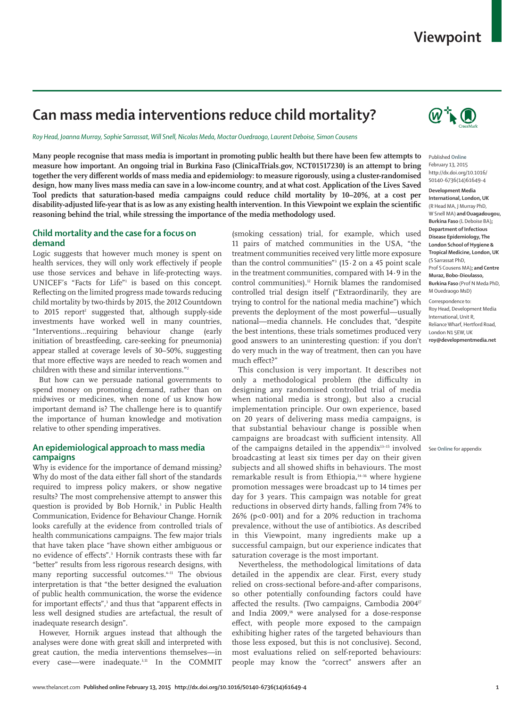# **Viewpoint**

# **Can mass media interventions reduce child mortality?**

*Roy Head, Joanna Murray, Sophie Sarrassat, Will Snell, Nicolas Meda, Moctar Ouedraogo, Laurent Deboise, Simon Cousens*

**Many people recognise that mass media is important in promoting public health but there have been few attempts to measure how important. An ongoing trial in Burkina Faso (ClinicalTrials.gov, NCT01517230) is an attempt to bring together the very different worlds of mass media and epidemiology: to measure rigorously, using a cluster-randomised design, how many lives mass media can save in a low-income country, and at what cost. Application of the Lives Saved Tool predicts that saturation-based media campaigns could reduce child mortality by 10–20%, at a cost per disability-adjusted life-year that is as low as any existing health intervention. In this Viewpoint we explain the scientific reasoning behind the trial, while stressing the importance of the media methodology used.**

## **Child mortality and the case for a focus on demand**

Logic suggests that however much money is spent on health services, they will only work effectively if people use those services and behave in life-protecting ways. UNICEF's "Facts for Life"1 is based on this concept. Reflecting on the limited progress made towards reducing child mortality by two-thirds by 2015, the 2012 Countdown to 2015 report<sup>2</sup> suggested that, although supply-side investments have worked well in many countries, "Interventions…requiring behaviour change (early initiation of breastfeeding, care-seeking for pneumonia) appear stalled at coverage levels of 30–50%, suggesting that more effective ways are needed to reach women and children with these and similar interventions."2

But how can we persuade national governments to spend money on promoting demand, rather than on midwives or medicines, when none of us know how important demand is? The challenge here is to quantify the importance of human knowledge and motivation relative to other spending imperatives.

## **An epidemiological approach to mass media campaigns**

Why is evidence for the importance of demand missing? Why do most of the data either fall short of the standards required to impress policy makers, or show negative results? The most comprehensive attempt to answer this question is provided by Bob Hornik,<sup>3</sup> in Public Health Communication, Evidence for Behaviour Change. Hornik looks carefully at the evidence from controlled trials of health communications campaigns. The few major trials that have taken place "have shown either ambiguous or no evidence of effects".<sup>3</sup> Hornik contrasts these with far "better" results from less rigorous research designs, with many reporting successful outcomes.<sup>4-11</sup> The obvious interpretation is that "the better designed the evaluation of public health communication, the worse the evidence for important effects",<sup>3</sup> and thus that "apparent effects in less well designed studies are artefactual, the result of inadequate research design".

However, Hornik argues instead that although the analyses were done with great skill and interpreted with great caution, the media interventions themselves—in every case—were inadequate.<sup>3,11</sup> In the COMMIT (smoking cessation) trial, for example, which used 11 pairs of matched communities in the USA, "the treatment communities received very little more exposure than the control communities" $(15.2 \text{ on a } 45 \text{ point scale})$ in the treatment communities, compared with 14·9 in the control communities).12 Hornik blames the randomised controlled trial design itself ("Extraordinarily, they are trying to control for the national media machine") which prevents the deployment of the most powerful—usually national—media channels. He concludes that, "despite the best intentions, these trials sometimes produced very good answers to an uninteresting question: if you don't do very much in the way of treatment, then can you have much effect?"

This conclusion is very important. It describes not only a methodological problem (the difficulty in designing any randomised controlled trial of media when national media is strong), but also a crucial implementation principle. Our own experience, based on 20 years of delivering mass media campaigns, is that substantial behaviour change is possible when campaigns are broadcast with sufficient intensity. All of the campaigns detailed in the appendix<sup>13-15</sup> involved See Online for appendix broadcasting at least six times per day on their given subjects and all showed shifts in behaviours. The most remarkable result is from Ethiopia,<sup>14-16</sup> where hygiene promotion messages were broadcast up to 14 times per day for 3 years. This campaign was notable for great reductions in observed dirty hands, falling from 74% to 26% (p<0 $0.001$ ) and for a 20% reduction in trachoma prevalence, without the use of antibiotics. As described in this Viewpoint, many ingredients make up a successful campaign, but our experience indicates that saturation coverage is the most important.

Nevertheless, the methodological limitations of data detailed in the appendix are clear. First, every study relied on cross-sectional before-and-after comparisons, so other potentially confounding factors could have affected the results. (Two campaigns, Cambodia 2004<sup>17</sup> and India 2009,18 were analysed for a dose-response effect, with people more exposed to the campaign exhibiting higher rates of the targeted behaviours than those less exposed, but this is not conclusive). Second, most evaluations relied on self-reported behaviours: people may know the "correct" answers after an



Published **Online** February 13, 2015 http://dx.doi.org/10.1016/ S0140-6736(14)61649-4

**Development Media International, London, UK**  (R Head MA, J Murray PhD, W Snell MA) **and Ouagadougou, Burkina Faso** (L Deboise BA)**; Department of Infectious Disease Epidemiology, The London School of Hygiene & Tropical Medicine, London, UK**  (S Sarrassat PhD, Prof S Cousens MA)**; and Centre Muraz, Bobo-Dioulasso, Burkina Faso** (Prof N Meda PhD, M Ouedraogo MsD) Correspondence to: Roy Head, Development Media International, Unit R,

Reliance Wharf, Hertford Road, London N1 5EW, UK **roy@developmentmedia.net**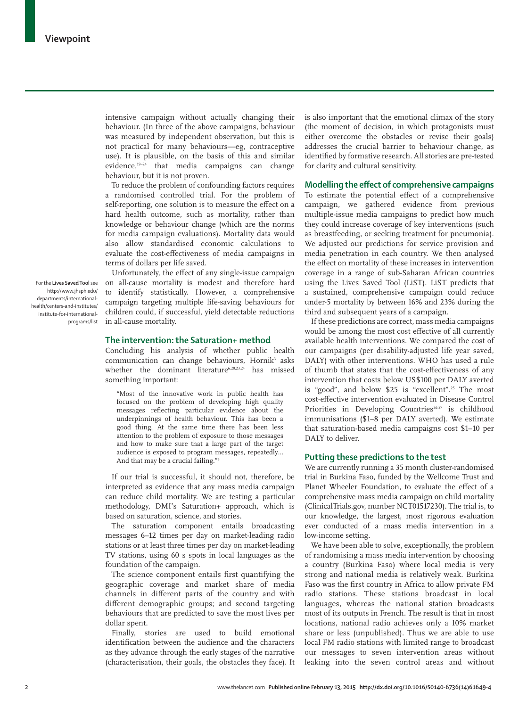intensive campaign without actually changing their behaviour. (In three of the above campaigns, behaviour was measured by independent observation, but this is not practical for many behaviours—eg, contraceptive use). It is plausible, on the basis of this and similar evidence,<sup>19-24</sup> that media campaigns can change behaviour, but it is not proven.

To reduce the problem of confounding factors requires a randomised controlled trial. For the problem of self-reporting, one solution is to measure the effect on a hard health outcome, such as mortality, rather than knowledge or behaviour change (which are the norms for media campaign evaluations). Mortality data would also allow standardised economic calculations to evaluate the cost-effectiveness of media campaigns in terms of dollars per life saved.

For the **Lives Saved Tool** see http://www.jhsph.edu/ departments/internationalhealth/centers-and-institutes/ institute-for-internationalprograms/list

Unfortunately, the effect of any single-issue campaign on all-cause mortality is modest and therefore hard to identify statistically. However, a comprehensive campaign targeting multiple life-saving behaviours for children could, if successful, yield detectable reductions in all-cause mortality.

### **The intervention: the Saturation+ method**

Concluding his analysis of whether public health communication can change behaviours, Hornik<sup>3</sup> asks whether the dominant literature<sup>6,20,23,24</sup> has missed something important:

"Most of the innovative work in public health has focused on the problem of developing high quality messages reflecting particular evidence about the underpinnings of health behaviour. This has been a good thing. At the same time there has been less attention to the problem of exposure to those messages and how to make sure that a large part of the target audience is exposed to program messages, repeatedly… And that may be a crucial failing."3

If our trial is successful, it should not, therefore, be interpreted as evidence that any mass media campaign can reduce child mortality. We are testing a particular methodology, DMI's Saturation+ approach, which is based on saturation, science, and stories.

The saturation component entails broadcasting messages 6–12 times per day on market-leading radio stations or at least three times per day on market-leading TV stations, using 60 s spots in local languages as the foundation of the campaign.

The science component entails first quantifying the geographic coverage and market share of media channels in different parts of the country and with different demographic groups; and second targeting behaviours that are predicted to save the most lives per dollar spent.

Finally, stories are used to build emotional identification between the audience and the characters as they advance through the early stages of the narrative (characterisation, their goals, the obstacles they face). It is also important that the emotional climax of the story (the moment of decision, in which protagonists must either overcome the obstacles or revise their goals) addresses the crucial barrier to behaviour change, as identified by formative research. All stories are pre-tested for clarity and cultural sensitivity.

## **Modelling the effect of comprehensive campaigns**

To estimate the potential effect of a comprehensive campaign, we gathered evidence from previous multiple-issue media campaigns to predict how much they could increase coverage of key interventions (such as breastfeeding, or seeking treatment for pneumonia). We adjusted our predictions for service provision and media penetration in each country. We then analysed the effect on mortality of these increases in intervention coverage in a range of sub-Saharan African countries using the Lives Saved Tool (LiST). LiST predicts that a sustained, comprehensive campaign could reduce under-5 mortality by between 16% and 23% during the third and subsequent years of a campaign.

If these predictions are correct, mass media campaigns would be among the most cost effective of all currently available health interventions. We compared the cost of our campaigns (per disability-adjusted life year saved, DALY) with other interventions. WHO has used a rule of thumb that states that the cost-effectiveness of any intervention that costs below US\$100 per DALY averted is "good", and below \$25 is "excellent".25 The most cost-effective intervention evaluated in Disease Control Priorities in Developing Countries<sup>26,27</sup> is childhood immunisations (\$1–8 per DALY averted). We estimate that saturation-based media campaigns cost \$1–10 per DALY to deliver.

### **Putting these predictions to the test**

We are currently running a 35 month cluster-randomised trial in Burkina Faso, funded by the Wellcome Trust and Planet Wheeler Foundation, to evaluate the effect of a comprehensive mass media campaign on child mortality (ClinicalTrials.gov, number NCT01517230). The trial is, to our knowledge, the largest, most rigorous evaluation ever conducted of a mass media intervention in a low-income setting.

We have been able to solve, exceptionally, the problem of randomising a mass media intervention by choosing a country (Burkina Faso) where local media is very strong and national media is relatively weak. Burkina Faso was the first country in Africa to allow private FM radio stations. These stations broadcast in local languages, whereas the national station broadcasts most of its outputs in French. The result is that in most locations, national radio achieves only a 10% market share or less (unpublished). Thus we are able to use local FM radio stations with limited range to broadcast our messages to seven intervention areas without leaking into the seven control areas and without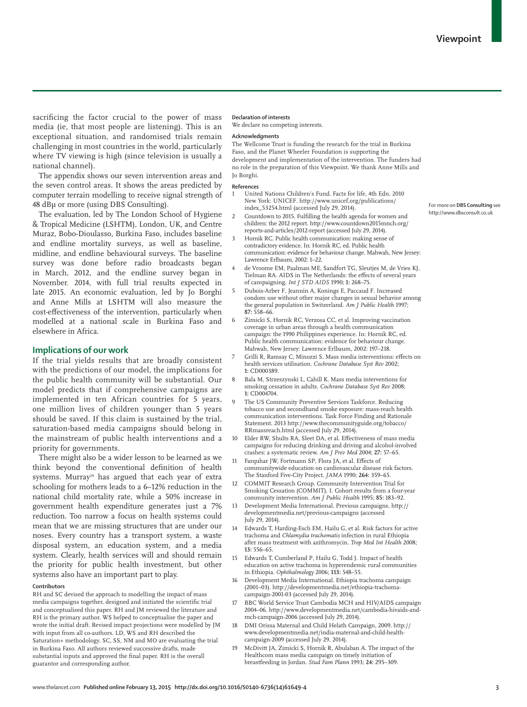sacrificing the factor crucial to the power of mass media (ie, that most people are listening). This is an exceptional situation, and randomised trials remain challenging in most countries in the world, particularly where TV viewing is high (since television is usually a national channel).

The appendix shows our seven intervention areas and the seven control areas. It shows the areas predicted by computer terrain modelling to receive signal strength of 48 dBµ or more (using DBS Consulting).

The evaluation, led by The London School of Hygiene & Tropical Medicine (LSHTM), London, UK, and Centre Muraz, Bobo-Dioulasso, Burkina Faso, includes baseline and endline mortality surveys, as well as baseline, midline, and endline behavioural surveys. The baseline survey was done before radio broadcasts began in March, 2012, and the endline survey began in November, 2014, with full trial results expected in late 2015. An economic evaluation, led by Jo Borghi and Anne Mills at LSHTM will also measure the cost-effectiveness of the intervention, particularly when modelled at a national scale in Burkina Faso and elsewhere in Africa.

#### **Implications of our work**

If the trial yields results that are broadly consistent with the predictions of our model, the implications for the public health community will be substantial. Our model predicts that if comprehensive campaigns are implemented in ten African countries for 5 years, one million lives of children younger than 5 years should be saved. If this claim is sustained by the trial, saturation-based media campaigns should belong in the mainstream of public health interventions and a priority for governments.

There might also be a wider lesson to be learned as we think beyond the conventional definition of health systems. Murray<sup>29</sup> has argued that each year of extra schooling for mothers leads to a 6–12% reduction in the national child mortality rate, while a 50% increase in government health expenditure generates just a 7% reduction. Too narrow a focus on health systems could mean that we are missing structures that are under our noses. Every country has a transport system, a waste disposal system, an education system, and a media system. Clearly, health services will and should remain the priority for public health investment, but other systems also have an important part to play.

#### **Contributors**

RH and SC devised the approach to modelling the impact of mass media campaigns together, designed and initiated the scientific trial and conceptualised this paper. RH and JM reviewed the literature and RH is the primary author. WS helped to conceptualise the paper and wrote the initial draft. Revised impact projections were modelled by JM with input from all co-authors. LD, WS and RH described the Saturation+ methodology. SC, SS, NM and MO are evaluating the trial in Burkina Faso. All authors reviewed successive drafts, made substantial inputs and approved the final paper. RH is the overall guarantor and corresponding author.

#### **Declaration of interests**

We declare no competing interests.

#### **Acknowledgments**

The Wellcome Trust is funding the research for the trial in Burkina Faso, and the Planet Wheeler Foundation is supporting the development and implementation of the intervention. The funders had no role in the preparation of this Viewpoint. We thank Anne Mills and Jo Borghi.

#### **References**

- 1 United Nations Children's Fund. Facts for life, 4th Edn. 2010 New York: UNICEF. http://www.unicef.org/publications/ index\_53254.html (accessed July 29, 2014).
- 2 Countdown to 2015. Fulfilling the health agenda for women and children: the 2012 report. http://www.countdown2015mnch.org/ reports-and-articles/2012-report (accessed July 29, 2014).
- 3 Hornik RC. Public health communication: making sense of contradictory evidence. In: Hornik RC, ed. Public health communication: evidence for behaviour change. Mahwah, New Jersey: Lawrence Erlbaum, 2002: 1–22.
- 4 de Vroome EM, Paalman ME, Sandfort TG, Sleutjes M, de Vries KJ, Tielman RA. AIDS in The Netherlands: the effects of several years of campaigning. *Int J STD AIDS* 1990; **1:** 268–75.
- 5 Dubois-Arber F, Jeannin A, Konings E, Paccaud F. Increased condom use without other major changes in sexual behavior among the general population in Switzerland. *Am J Public Health* 1997; **87:** 558–66.
- 6 Zimicki S, Hornik RC, Verzosa CC, et al. Improving vaccination coverage in urban areas through a health communication campaign: the 1990 Philippines experience. In: Hornik RC, ed. Public health communication: evidence for behaviour change. Mahwah, New Jersey: Lawrence Erlbaum, 2002: 197–218.
- 7 Grilli R, Ramsay C, Minozzi S. Mass media interventions: effects on health services utilisation. *Cochrane Database Syst Rev* 2002; **1:** CD000389.
- 8 Bala M, Strzeszynski L, Cahill K. Mass media interventions for smoking cessation in adults. *Cochrane Database Syst Rev* 2008; **1:** CD004704.
- The US Community Preventive Services Taskforce. Reducing tobacco use and secondhand smoke exposure: mass-reach health communication interventions. Task Force Finding and Rationale Statement. 2013 http://www.thecommunityguide.org/tobacco/ RRmassreach.html (accessed July 29, 2014).
- Elder RW, Shults RA, Sleet DA, et al. Effectiveness of mass media campaigns for reducing drinking and driving and alcohol-involved crashes: a systematic review. *Am J Prev Med* 2004; **27:** 57–65.
- 11 Farquhar JW, Fortmann SP, Flora JA, et al. Effects of communitywide education on cardiovascular disease risk factors. The Stanford Five-City Project. *JAMA* 1990; **264:** 359–65.
- 12 COMMIT Research Group. Community Intervention Trial for Smoking Cessation (COMMIT). I. Cohort results from a four-year community intervention. *Am J Public Health* 1995; **85:** 183–92.
- 13 Development Media International. Previous campaigns. http:// developmentmedia.net/previous-campaigns (accessed July 29, 2014).
- 14 Edwards T, Harding-Esch EM, Hailu G, et al. Risk factors for active trachoma and *Chlamydia trachomatis* infection in rural Ethiopia after mass treatment with azithromycin. *Trop Med Int Health* 2008; **13:** 556–65.
- 15 Edwards T, Cumberland P, Hailu G, Todd J. Impact of health education on active trachoma in hyperendemic rural communities in Ethiopia. *Ophthalmology* 2006; **113:** 548–55.
- 16 Development Media International. Ethiopia trachoma campaign (2001–03). http://developmentmedia.net/ethiopia-trachomacampaign-2001-03 (accessed July 29, 2014).
- 17 BBC World Service Trust Cambodia MCH and HIV/AIDS campaign 2004–06. http://www.developmentmedia.net/cambodia-hivaids-andmch-campaign-2006 (accessed July 29, 2014).
- 18 DMI Orissa Maternal and Child Helath Campaign, 2009. http:// www.developmentmedia.net/india-maternal-and-child-healthcampaign-2009 (accessed July 29, 2014).
- 19 McDivitt JA, Zimicki S, Hornik R, Abulaban A. The impact of the Healthcom mass media campaign on timely initiation of breastfeeding in Jordan. *Stud Fam Plann* 1993; **24:** 295–309.

For more on **DBS Consulting** see http://www.dbsconsult.co.uk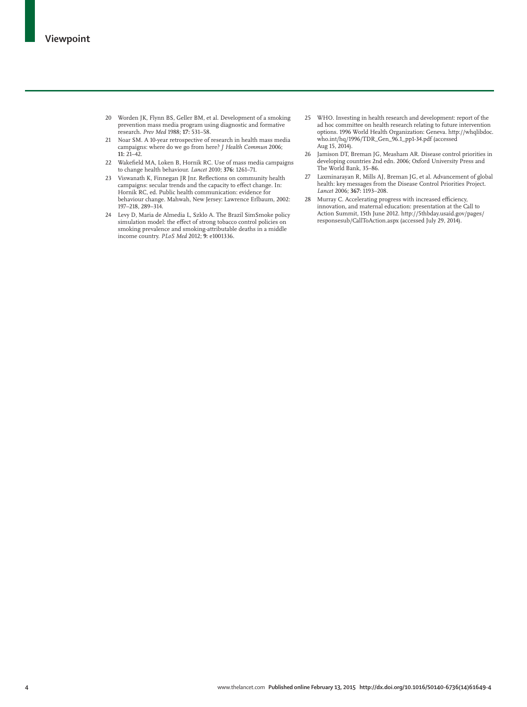- 20 Worden JK, Flynn BS, Geller BM, et al. Development of a smoking prevention mass media program using diagnostic and formative research. *Prev Med* 1988; **17:** 531–58.
- 21 Noar SM. A 10-year retrospective of research in health mass media campaigns: where do we go from here? *J Health Commun* 2006; **11:** 21–42.
- 22 Wakefield MA, Loken B, Hornik RC. Use of mass media campaigns to change health behaviour. *Lancet* 2010; **376:** 1261–71.
- 23 Viswanath K, Finnegan JR Jnr. Reflections on community health campaigns: secular trends and the capacity to effect change. In: Hornik RC, ed. Public health communication: evidence for behaviour change. Mahwah, New Jersey: Lawrence Erlbaum, 2002: 197–218, 289–314.
- 24 Levy D, Maria de Almedia L, Szklo A. The Brazil SimSmoke policy simulation model: the effect of strong tobacco control policies on smoking prevalence and smoking-attributable deaths in a middle income country. *PLoS Med* 2012; **9:** e1001336.
- 25 WHO. Investing in health research and development: report of the ad hoc committee on health research relating to future intervention options. 1996 World Health Organization: Geneva. http://whqlibdoc. who.int/hq/1996/TDR\_Gen\_96.1\_pp1-34.pdf (accessed Aug 15, 2014).
- 26 Jamison DT, Breman JG, Measham AR. Disease control priorities in developing countries 2nd edn. 2006; Oxford University Press and The World Bank, 35–86.
- 27 Laxminarayan R, Mills AJ, Breman JG, et al. Advancement of global health: key messages from the Disease Control Priorities Project. *Lancet* 2006; **367:** 1193–208.
- 28 Murray C. Accelerating progress with increased efficiency, innovation, and maternal education: presentation at the Call to Action Summit, 15th June 2012. http://5thbday.usaid.gov/pages/ responsesub/CallToAction.aspx (accessed July 29, 2014).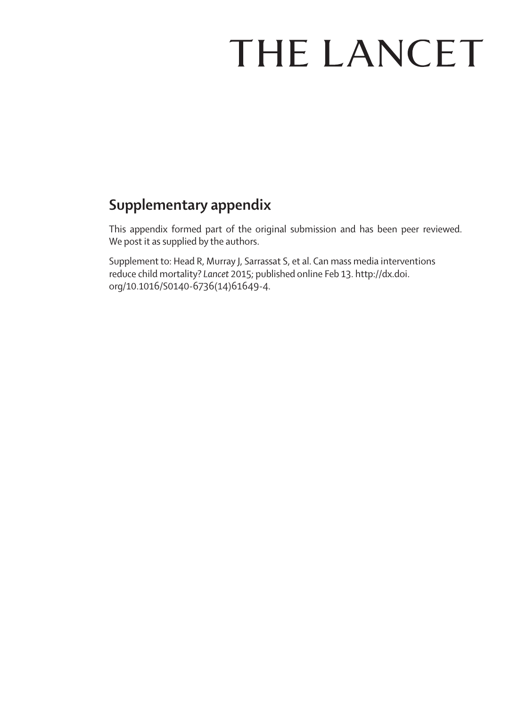# THE LANCET

# **Supplementary appendix**

This appendix formed part of the original submission and has been peer reviewed. We post it as supplied by the authors.

Supplement to: Head R, Murray J, Sarrassat S, et al. Can mass media interventions reduce child mortality? *Lancet* 2015; published online Feb 13. http://dx.doi. org/10.1016/S0140-6736(14)61649-4.